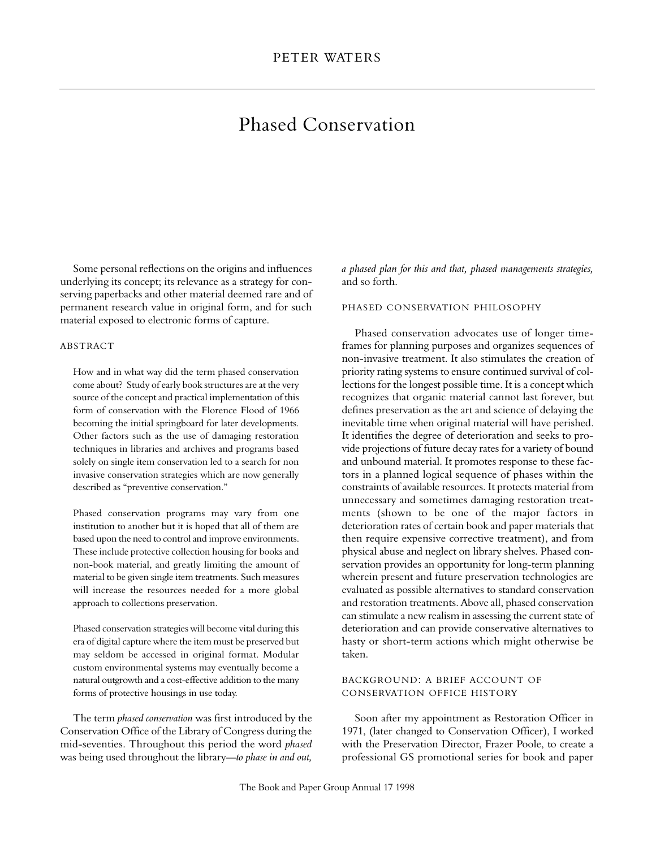# Phased Conservation

Some personal reflections on the origins and influences underlying its concept; its relevance as a strategy for conserving paperbacks and other material deemed rare and of permanent research value in original form, and for such material exposed to electronic forms of capture.

## **ABSTRACT**

How and in what way did the term phased conservation come about? Study of early book structures are at the very source of the concept and practical implementation of this form of conservation with the Florence Flood of 1966 becoming the initial springboard for later developments. Other factors such as the use of damaging restoration techniques in libraries and archives and programs based solely on single item conservation led to a search for non invasive conservation strategies which are now generally described as "preventive conservation."

Phased conservation programs may vary from one institution to another but it is hoped that all of them are based upon the need to control and improve environments. These include protective collection housing for books and non-book material, and greatly limiting the amount of material to be given single item treatments. Such measures will increase the resources needed for a more global approach to collections preservation.

Phased conservation strategies will become vital during this era of digital capture where the item must be preserved but may seldom be accessed in original format. Modular custom environmental systems may eventually become a natural outgrowth and a cost-effective addition to the many forms of protective housings in use today.

The term *phased conservation* was first introduced by the Conservation Office of the Library of Congress during the mid-seventies. Throughout this period the word *phased* was being used throughout the library—*to phase in and out,* *a phased plan for this and that, phased managements strategies,* and so forth.

# PHASED CONSERVATION PHILOSOPHY

Phased conservation advocates use of longer timeframes for planning purposes and organizes sequences of non-invasive treatment. It also stimulates the creation of priority rating systems to ensure continued survival of collections for the longest possible time. It is a concept which recognizes that organic material cannot last forever, but defines preservation as the art and science of delaying the inevitable time when original material will have perished. It identifies the degree of deterioration and seeks to provide projections of future decay rates for a variety of bound and unbound material. It promotes response to these factors in a planned logical sequence of phases within the constraints of available resources. It protects material from unnecessary and sometimes damaging restoration treatments (shown to be one of the major factors in deterioration rates of certain book and paper materials that then require expensive corrective treatment), and from physical abuse and neglect on library shelves. Phased conservation provides an opportunity for long-term planning wherein present and future preservation technologies are evaluated as possible alternatives to standard conservation and restoration treatments. Above all, phased conservation can stimulate a new realism in assessing the current state of deterioration and can provide conservative alternatives to hasty or short-term actions which might otherwise be taken.

## BACKGROUND: A BRIEF ACCOUNT OF CONSERVATION OFFICE HISTORY

Soon after my appointment as Restoration Officer in 1971, (later changed to Conservation Officer), I worked with the Preservation Director, Frazer Poole, to create a professional GS promotional series for book and paper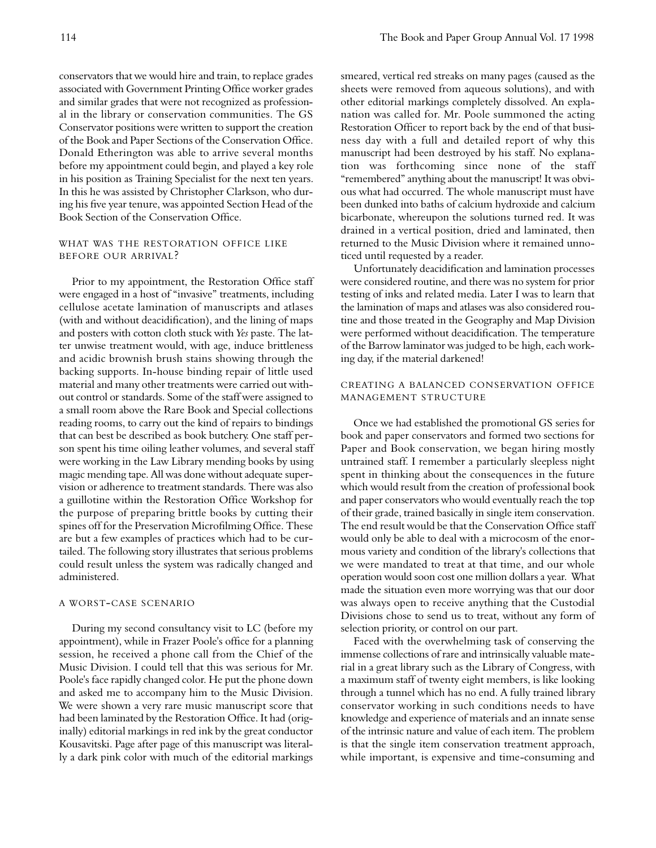conservators that we would hire and train, to replace grades associated with Government Printing Office worker grades and similar grades that were not recognized as professional in the library or conservation communities. The GS Conservator positions were written to support the creation of the Book and Paper Sections of the Conservation Office. Donald Etherington was able to arrive several months before my appointment could begin, and played a key role in his position as Training Specialist for the next ten years. In this he was assisted by Christopher Clarkson, who during his five year tenure, was appointed Section Head of the Book Section of the Conservation Office.

# WHAT WAS THE RESTORATION OFFICE LIKE BEFORE OUR ARRIVAL?

Prior to my appointment, the Restoration Office staff were engaged in a host of "invasive" treatments, including cellulose acetate lamination of manuscripts and atlases (with and without deacidification), and the lining of maps and posters with cotton cloth stuck with *Yes* paste. The latter unwise treatment would, with age, induce brittleness and acidic brownish brush stains showing through the backing supports. In-house binding repair of little used material and many other treatments were carried out without control or standards. Some of the staff were assigned to a small room above the Rare Book and Special collections reading rooms, to carry out the kind of repairs to bindings that can best be described as book butchery. One staff person spent his time oiling leather volumes, and several staff were working in the Law Library mending books by using magic mending tape. All was done without adequate supervision or adherence to treatment standards. There was also a guillotine within the Restoration Office Workshop for the purpose of preparing brittle books by cutting their spines off for the Preservation Microfilming Office. These are but a few examples of practices which had to be curtailed. The following story illustrates that serious problems could result unless the system was radically changed and administered.

## A WORST-CASE SCENARIO

During my second consultancy visit to LC (before my appointment), while in Frazer Poole's office for a planning session, he received a phone call from the Chief of the Music Division. I could tell that this was serious for Mr. Poole's face rapidly changed color. He put the phone down and asked me to accompany him to the Music Division. We were shown a very rare music manuscript score that had been laminated by the Restoration Office. It had (originally) editorial markings in red ink by the great conductor Kousavitski. Page after page of this manuscript was literally a dark pink color with much of the editorial markings

smeared, vertical red streaks on many pages (caused as the sheets were removed from aqueous solutions), and with other editorial markings completely dissolved. An explanation was called for. Mr. Poole summoned the acting Restoration Officer to report back by the end of that business day with a full and detailed report of why this manuscript had been destroyed by his staff. No explanation was forthcoming since none of the staff "remembered" anything about the manuscript! It was obvious what had occurred. The whole manuscript must have been dunked into baths of calcium hydroxide and calcium bicarbonate, whereupon the solutions turned red. It was drained in a vertical position, dried and laminated, then returned to the Music Division where it remained unnoticed until requested by a reader.

Unfortunately deacidification and lamination processes were considered routine, and there was no system for prior testing of inks and related media. Later I was to learn that the lamination of maps and atlases was also considered routine and those treated in the Geography and Map Division were performed without deacidification. The temperature of the Barrow laminator was judged to be high, each working day, if the material darkened!

# CREATING A BALANCED CONSERVATION OFFICE MANAGEMENT STRUCTURE

Once we had established the promotional GS series for book and paper conservators and formed two sections for Paper and Book conservation, we began hiring mostly untrained staff. I remember a particularly sleepless night spent in thinking about the consequences in the future which would result from the creation of professional book and paper conservators who would eventually reach the top of their grade, trained basically in single item conservation. The end result would be that the Conservation Office staff would only be able to deal with a microcosm of the enormous variety and condition of the library's collections that we were mandated to treat at that time, and our whole operation would soon cost one million dollars a year. What made the situation even more worrying was that our door was always open to receive anything that the Custodial Divisions chose to send us to treat, without any form of selection priority, or control on our part.

Faced with the overwhelming task of conserving the immense collections of rare and intrinsically valuable material in a great library such as the Library of Congress, with a maximum staff of twenty eight members, is like looking through a tunnel which has no end. A fully trained library conservator working in such conditions needs to have knowledge and experience of materials and an innate sense of the intrinsic nature and value of each item. The problem is that the single item conservation treatment approach, while important, is expensive and time-consuming and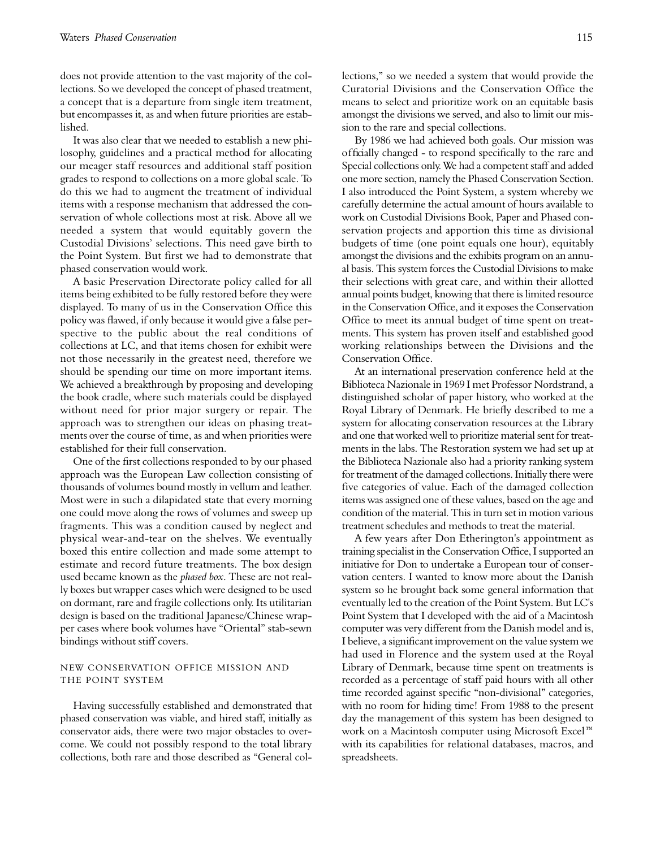does not provide attention to the vast majority of the collections. So we developed the concept of phased treatment, a concept that is a departure from single item treatment, but encompasses it, as and when future priorities are established.

It was also clear that we needed to establish a new philosophy, guidelines and a practical method for allocating our meager staff resources and additional staff position grades to respond to collections on a more global scale. To do this we had to augment the treatment of individual items with a response mechanism that addressed the conservation of whole collections most at risk. Above all we needed a system that would equitably govern the Custodial Divisions' selections. This need gave birth to the Point System. But first we had to demonstrate that phased conservation would work.

A basic Preservation Directorate policy called for all items being exhibited to be fully restored before they were displayed. To many of us in the Conservation Office this policy was flawed, if only because it would give a false perspective to the public about the real conditions of collections at LC, and that items chosen for exhibit were not those necessarily in the greatest need, therefore we should be spending our time on more important items. We achieved a breakthrough by proposing and developing the book cradle, where such materials could be displayed without need for prior major surgery or repair. The approach was to strengthen our ideas on phasing treatments over the course of time, as and when priorities were established for their full conservation.

One of the first collections responded to by our phased approach was the European Law collection consisting of thousands of volumes bound mostly in vellum and leather. Most were in such a dilapidated state that every morning one could move along the rows of volumes and sweep up fragments. This was a condition caused by neglect and physical wear-and-tear on the shelves. We eventually boxed this entire collection and made some attempt to estimate and record future treatments. The box design used became known as the *phased box*. These are not really boxes but wrapper cases which were designed to be used on dormant, rare and fragile collections only. Its utilitarian design is based on the traditional Japanese/Chinese wrapper cases where book volumes have "Oriental" stab-sewn bindings without stiff covers.

## NEW CONSERVATION OFFICE MISSION AND THE POINT SYSTEM

Having successfully established and demonstrated that phased conservation was viable, and hired staff, initially as conservator aids, there were two major obstacles to overcome. We could not possibly respond to the total library collections, both rare and those described as "General collections," so we needed a system that would provide the Curatorial Divisions and the Conservation Office the means to select and prioritize work on an equitable basis amongst the divisions we served, and also to limit our mission to the rare and special collections.

By 1986 we had achieved both goals. Our mission was officially changed - to respond specifically to the rare and Special collections only. We had a competent staff and added one more section, namely the Phased Conservation Section. I also introduced the Point System, a system whereby we carefully determine the actual amount of hours available to work on Custodial Divisions Book, Paper and Phased conservation projects and apportion this time as divisional budgets of time (one point equals one hour), equitably amongst the divisions and the exhibits program on an annual basis. This system forces the Custodial Divisions to make their selections with great care, and within their allotted annual points budget, knowing that there is limited resource in the Conservation Office, and it exposes the Conservation Office to meet its annual budget of time spent on treatments. This system has proven itself and established good working relationships between the Divisions and the Conservation Office.

At an international preservation conference held at the Biblioteca Nazionale in 1969 I met Professor Nordstrand, a distinguished scholar of paper history, who worked at the Royal Library of Denmark. He briefly described to me a system for allocating conservation resources at the Library and one that worked well to prioritize material sent for treatments in the labs. The Restoration system we had set up at the Biblioteca Nazionale also had a priority ranking system for treatment of the damaged collections. Initially there were five categories of value. Each of the damaged collection items was assigned one of these values, based on the age and condition of the material. This in turn set in motion various treatment schedules and methods to treat the material.

A few years after Don Etherington's appointment as training specialist in the Conservation Office, I supported an initiative for Don to undertake a European tour of conservation centers. I wanted to know more about the Danish system so he brought back some general information that eventually led to the creation of the Point System. But LC's Point System that I developed with the aid of a Macintosh computer was very different from the Danish model and is, I believe, a significant improvement on the value system we had used in Florence and the system used at the Royal Library of Denmark, because time spent on treatments is recorded as a percentage of staff paid hours with all other time recorded against specific "non-divisional" categories, with no room for hiding time! From 1988 to the present day the management of this system has been designed to work on a Macintosh computer using Microsoft Excel™ with its capabilities for relational databases, macros, and spreadsheets.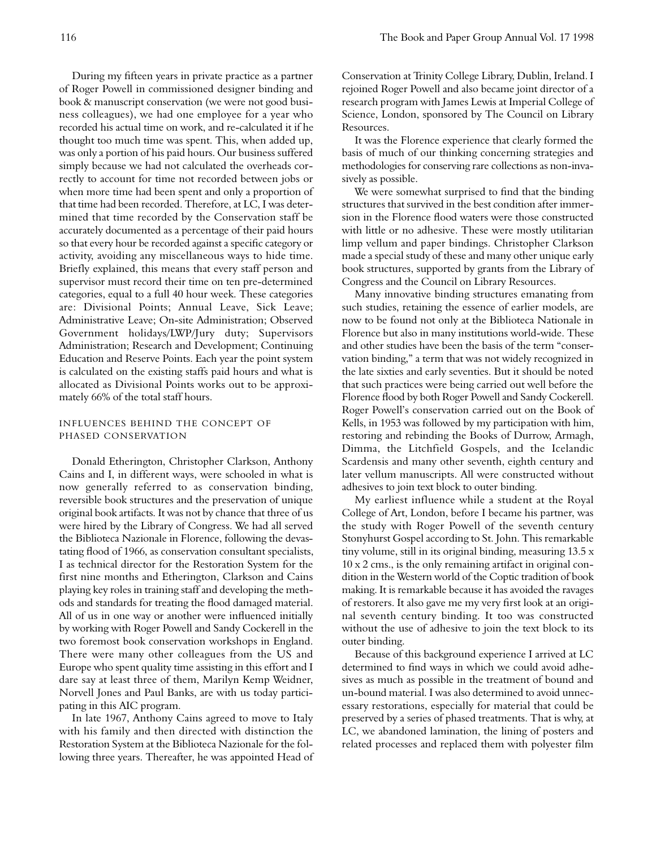During my fifteen years in private practice as a partner of Roger Powell in commissioned designer binding and book & manuscript conservation (we were not good business colleagues), we had one employee for a year who recorded his actual time on work, and re-calculated it if he thought too much time was spent. This, when added up, was only a portion of his paid hours. Our business suffered simply because we had not calculated the overheads correctly to account for time not recorded between jobs or when more time had been spent and only a proportion of that time had been recorded. Therefore, at LC, I was determined that time recorded by the Conservation staff be accurately documented as a percentage of their paid hours so that every hour be recorded against a specific category or activity, avoiding any miscellaneous ways to hide time. Briefly explained, this means that every staff person and supervisor must record their time on ten pre-determined categories, equal to a full 40 hour week. These categories are: Divisional Points; Annual Leave, Sick Leave; Administrative Leave; On-site Administration; Observed Government holidays/LWP/Jury duty; Supervisors Administration; Research and Development; Continuing Education and Reserve Points. Each year the point system is calculated on the existing staffs paid hours and what is allocated as Divisional Points works out to be approximately 66% of the total staff hours.

# INFLUENCES BEHIND THE CONCEPT OF PHASED CONSERVATION

Donald Etherington, Christopher Clarkson, Anthony Cains and I, in different ways, were schooled in what is now generally referred to as conservation binding, reversible book structures and the preservation of unique original book artifacts. It was not by chance that three of us were hired by the Library of Congress. We had all served the Biblioteca Nazionale in Florence, following the devastating flood of 1966, as conservation consultant specialists, I as technical director for the Restoration System for the first nine months and Etherington, Clarkson and Cains playing key roles in training staff and developing the methods and standards for treating the flood damaged material. All of us in one way or another were influenced initially by working with Roger Powell and Sandy Cockerell in the two foremost book conservation workshops in England. There were many other colleagues from the US and Europe who spent quality time assisting in this effort and I dare say at least three of them, Marilyn Kemp Weidner, Norvell Jones and Paul Banks, are with us today participating in this AIC program.

In late 1967, Anthony Cains agreed to move to Italy with his family and then directed with distinction the Restoration System at the Biblioteca Nazionale for the following three years. Thereafter, he was appointed Head of Conservation at Trinity College Library, Dublin, Ireland. I rejoined Roger Powell and also became joint director of a research program with James Lewis at Imperial College of Science, London, sponsored by The Council on Library Resources.

It was the Florence experience that clearly formed the basis of much of our thinking concerning strategies and methodologies for conserving rare collections as non-invasively as possible.

We were somewhat surprised to find that the binding structures that survived in the best condition after immersion in the Florence flood waters were those constructed with little or no adhesive. These were mostly utilitarian limp vellum and paper bindings. Christopher Clarkson made a special study of these and many other unique early book structures, supported by grants from the Library of Congress and the Council on Library Resources.

Many innovative binding structures emanating from such studies, retaining the essence of earlier models, are now to be found not only at the Biblioteca Nationale in Florence but also in many institutions world-wide. These and other studies have been the basis of the term "conservation binding," a term that was not widely recognized in the late sixties and early seventies. But it should be noted that such practices were being carried out well before the Florence flood by both Roger Powell and Sandy Cockerell. Roger Powell's conservation carried out on the Book of Kells, in 1953 was followed by my participation with him, restoring and rebinding the Books of Durrow, Armagh, Dimma, the Litchfield Gospels, and the Icelandic Scardensis and many other seventh, eighth century and later vellum manuscripts. All were constructed without adhesives to join text block to outer binding.

My earliest influence while a student at the Royal College of Art, London, before I became his partner, was the study with Roger Powell of the seventh century Stonyhurst Gospel according to St. John. This remarkable tiny volume, still in its original binding, measuring 13.5 x 10 x 2 cms., is the only remaining artifact in original condition in the Western world of the Coptic tradition of book making. It is remarkable because it has avoided the ravages of restorers. It also gave me my very first look at an original seventh century binding. It too was constructed without the use of adhesive to join the text block to its outer binding.

Because of this background experience I arrived at LC determined to find ways in which we could avoid adhesives as much as possible in the treatment of bound and un-bound material. I was also determined to avoid unnecessary restorations, especially for material that could be preserved by a series of phased treatments. That is why, at LC, we abandoned lamination, the lining of posters and related processes and replaced them with polyester film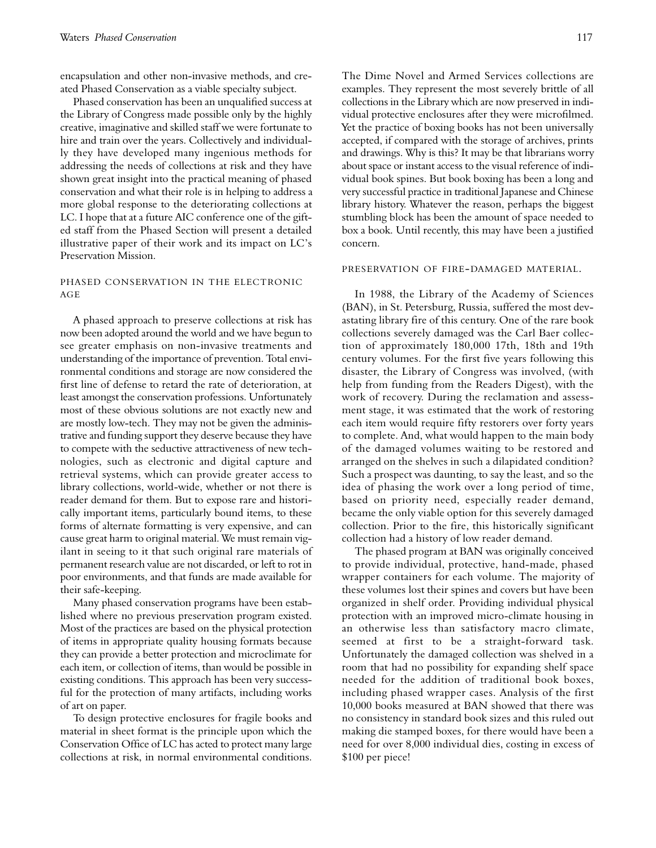encapsulation and other non-invasive methods, and created Phased Conservation as a viable specialty subject.

Phased conservation has been an unqualified success at the Library of Congress made possible only by the highly creative, imaginative and skilled staff we were fortunate to hire and train over the years. Collectively and individually they have developed many ingenious methods for addressing the needs of collections at risk and they have shown great insight into the practical meaning of phased conservation and what their role is in helping to address a more global response to the deteriorating collections at LC. I hope that at a future AIC conference one of the gifted staff from the Phased Section will present a detailed illustrative paper of their work and its impact on LC's Preservation Mission.

## PHASED CONSERVATION IN THE ELECTRONIC AG E

A phased approach to preserve collections at risk has now been adopted around the world and we have begun to see greater emphasis on non-invasive treatments and understanding of the importance of prevention. Total environmental conditions and storage are now considered the first line of defense to retard the rate of deterioration, at least amongst the conservation professions. Unfortunately most of these obvious solutions are not exactly new and are mostly low-tech. They may not be given the administrative and funding support they deserve because they have to compete with the seductive attractiveness of new technologies, such as electronic and digital capture and retrieval systems, which can provide greater access to library collections, world-wide, whether or not there is reader demand for them. But to expose rare and historically important items, particularly bound items, to these forms of alternate formatting is very expensive, and can cause great harm to original material. We must remain vigilant in seeing to it that such original rare materials of permanent research value are not discarded, or left to rot in poor environments, and that funds are made available for their safe-keeping.

Many phased conservation programs have been established where no previous preservation program existed. Most of the practices are based on the physical protection of items in appropriate quality housing formats because they can provide a better protection and microclimate for each item, or collection of items, than would be possible in existing conditions. This approach has been very successful for the protection of many artifacts, including works of art on paper.

To design protective enclosures for fragile books and material in sheet format is the principle upon which the Conservation Office of LC has acted to protect many large collections at risk, in normal environmental conditions. The Dime Novel and Armed Services collections are examples. They represent the most severely brittle of all collections in the Library which are now preserved in individual protective enclosures after they were microfilmed. Yet the practice of boxing books has not been universally accepted, if compared with the storage of archives, prints and drawings. Why is this? It may be that librarians worry about space or instant access to the visual reference of individual book spines. But book boxing has been a long and very successful practice in traditional Japanese and Chinese library history. Whatever the reason, perhaps the biggest stumbling block has been the amount of space needed to box a book. Until recently, this may have been a justified concern.

#### PRESERVATION OF FIRE-DAMAGED MATERIAL.

In 1988, the Library of the Academy of Sciences (BAN), in St. Petersburg, Russia, suffered the most devastating library fire of this century. One of the rare book collections severely damaged was the Carl Baer collection of approximately 180,000 17th, 18th and 19th century volumes. For the first five years following this disaster, the Library of Congress was involved, (with help from funding from the Readers Digest), with the work of recovery. During the reclamation and assessment stage, it was estimated that the work of restoring each item would require fifty restorers over forty years to complete. And, what would happen to the main body of the damaged volumes waiting to be restored and arranged on the shelves in such a dilapidated condition? Such a prospect was daunting, to say the least, and so the idea of phasing the work over a long period of time, based on priority need, especially reader demand, became the only viable option for this severely damaged collection. Prior to the fire, this historically significant collection had a history of low reader demand.

The phased program at BAN was originally conceived to provide individual, protective, hand-made, phased wrapper containers for each volume. The majority of these volumes lost their spines and covers but have been organized in shelf order. Providing individual physical protection with an improved micro-climate housing in an otherwise less than satisfactory macro climate, seemed at first to be a straight-forward task. Unfortunately the damaged collection was shelved in a room that had no possibility for expanding shelf space needed for the addition of traditional book boxes, including phased wrapper cases. Analysis of the first 10,000 books measured at BAN showed that there was no consistency in standard book sizes and this ruled out making die stamped boxes, for there would have been a need for over 8,000 individual dies, costing in excess of \$100 per piece!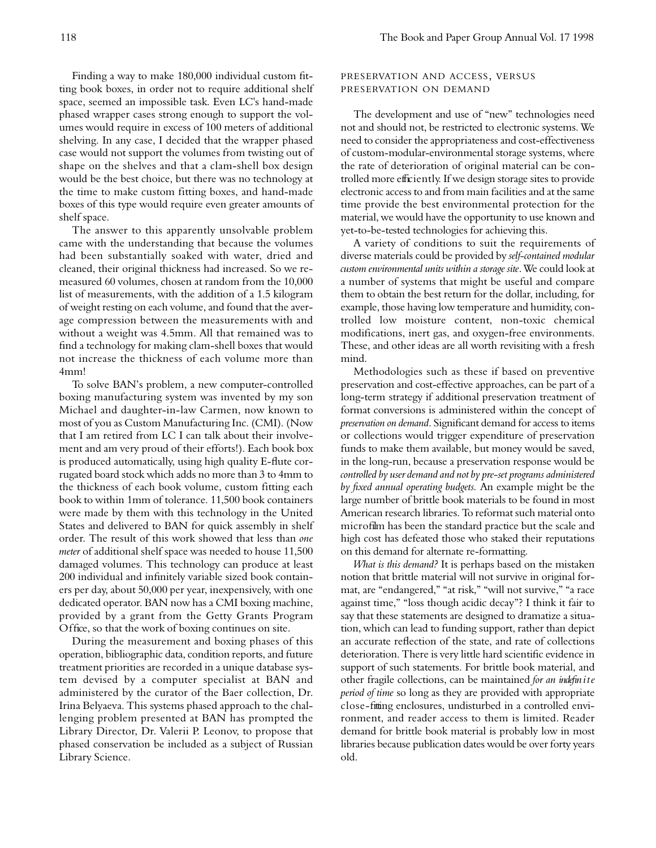Finding a way to make 180,000 individual custom fitting book boxes, in order not to require additional shelf space, seemed an impossible task. Even LC's hand-made phased wrapper cases strong enough to support the volumes would require in excess of 100 meters of additional shelving. In any case, I decided that the wrapper phased case would not support the volumes from twisting out of shape on the shelves and that a clam-shell box design would be the best choice, but there was no technology at the time to make custom fitting boxes, and hand-made boxes of this type would require even greater amounts of shelf space.

The answer to this apparently unsolvable problem came with the understanding that because the volumes had been substantially soaked with water, dried and cleaned, their original thickness had increased. So we remeasured 60 volumes, chosen at random from the 10,000 list of measurements, with the addition of a 1.5 kilogram of weight resting on each volume, and found that the average compression between the measurements with and without a weight was 4.5mm. All that remained was to find a technology for making clam-shell boxes that would not increase the thickness of each volume more than 4mm!

To solve BAN's problem, a new computer-controlled boxing manufacturing system was invented by my son Michael and daughter-in-law Carmen, now known to most of you as Custom Manufacturing Inc. (CMI). (Now that I am retired from LC I can talk about their involvement and am very proud of their efforts!). Each book box is produced automatically, using high quality E-flute corrugated board stock which adds no more than 3 to 4mm to the thickness of each book volume, custom fitting each book to within 1mm of tolerance. 11,500 book containers were made by them with this technology in the United States and delivered to BAN for quick assembly in shelf order. The result of this work showed that less than one *meter* of additional shelf space was needed to house 11,500 damaged volumes. This technology can produce at least 200 individual and infinitely variable sized book containers per day, about 50,000 per year, inexpensively, with one dedicated operator. BAN now has a CMI boxing machine, provided by a grant from the Getty Grants Program Office, so that the work of boxing continues on site.

During the measurement and boxing phases of this operation, bibliographic data, condition reports, and future treatment priorities are recorded in a unique database system devised by a computer specialist at BAN and administered by the curator of the Baer collection, Dr. Irina Belyaeva. This systems phased approach to the challenging problem presented at BAN has prompted the Library Director, Dr. Valerii P. Leonov, to propose that phased conservation be included as a subject of Russian Library Science.

# PRESERVATION AND ACCESS, VERSUS PRESERVATION ON DEMAND

The development and use of "new" technologies need not and should not, be restricted to electronic systems. We need to consider the appropriateness and cost-effectiveness of custom-modular-environmental storage systems, where the rate of deterioration of original material can be controlled more efficiently. If we design storage sites to provide electronic access to and from main facilities and at the same time provide the best environmental protection for the material, we would have the opportunity to use known and yet-to-be-tested technologies for achieving this.

A variety of conditions to suit the requirements of diverse materials could be provided by *self-contained modular custom environmental units within a storage site*. We could look at a number of systems that might be useful and compare them to obtain the best return for the dollar, including, for example, those having low temperature and humidity, controlled low moisture content, non-toxic chemical modifications, inert gas, and oxygen-free environments. These, and other ideas are all worth revisiting with a fresh mind.

Methodologies such as these if based on preventive preservation and cost-effective approaches, can be part of a long-term strategy if additional preservation treatment of format conversions is administered within the concept of *preservation on demand*. Significant demand for access to items or collections would trigger expenditure of preservation funds to make them available, but money would be saved, in the long-run, because a preservation response would be *controlled by user demand and not by pre-set programs administered by fixed annual operating budgets.* An example might be the large number of brittle book materials to be found in most American research libraries. To reformat such material onto microfilm has been the standard practice but the scale and high cost has defeated those who staked their reputations on this demand for alternate re-formatting.

*What is this demand?* It is perhaps based on the mistaken notion that brittle material will not survive in original format, are "endangered," "at risk," "will not survive," "a race against time," "loss though acidic decay"? I think it fair to say that these statements are designed to dramatize a situation, which can lead to funding support, rather than depict an accurate reflection of the state, and rate of collections deterioration. There is very little hard scientific evidence in support of such statements. For brittle book material, and other fragile collections, can be maintained *for an indefin i t e period of time* so long as they are provided with appropriate close-fitting enclosures, undisturbed in a controlled environment, and reader access to them is limited. Reader demand for brittle book material is probably low in most libraries because publication dates would be over forty years old.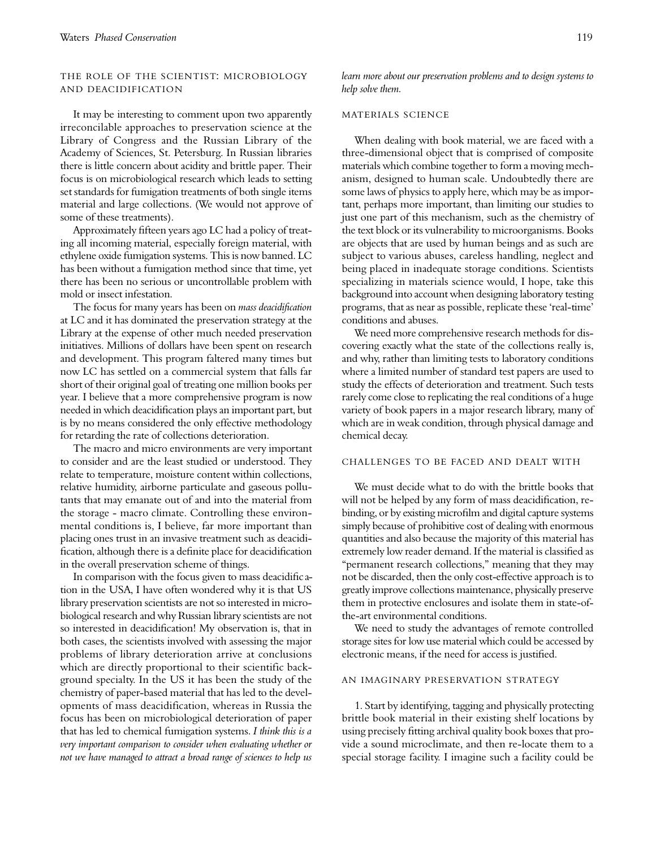# THE ROLE OF THE SCIENTIST: MICROBIOLOGY AND DEACIDIFICATION

It may be interesting to comment upon two apparently irreconcilable approaches to preservation science at the Library of Congress and the Russian Library of the Academy of Sciences, St. Petersburg. In Russian libraries there is little concern about acidity and brittle paper. Their focus is on microbiological research which leads to setting set standards for fumigation treatments of both single items material and large collections. (We would not approve of some of these treatments).

Approximately fifteen years ago LC had a policy of treating all incoming material, especially foreign material, with ethylene oxide fumigation systems. This is now banned. LC has been without a fumigation method since that time, yet there has been no serious or uncontrollable problem with mold or insect infestation.

The focus for many years has been on *mass deacidification* at LC and it has dominated the preservation strategy at the Library at the expense of other much needed preservation initiatives. Millions of dollars have been spent on research and development. This program faltered many times but now LC has settled on a commercial system that falls far short of their original goal of treating one million books per year. I believe that a more comprehensive program is now needed in which deacidification plays an important part, but is by no means considered the only effective methodology for retarding the rate of collections deterioration.

The macro and micro environments are very important to consider and are the least studied or understood. They relate to temperature, moisture content within collections, relative humidity, airborne particulate and gaseous pollutants that may emanate out of and into the material from the storage - macro climate. Controlling these environmental conditions is, I believe, far more important than placing ones trust in an invasive treatment such as deacidification, although there is a definite place for deacidification in the overall preservation scheme of things.

In comparison with the focus given to mass deacidific ation in the USA, I have often wondered why it is that US library preservation scientists are not so interested in microbiological research and why Russian library scientists are not so interested in deacidification! My observation is, that in both cases, the scientists involved with assessing the major problems of library deterioration arrive at conclusions which are directly proportional to their scientific background specialty. In the US it has been the study of the chemistry of paper-based material that has led to the developments of mass deacidification, whereas in Russia the focus has been on microbiological deterioration of paper that has led to chemical fumigation systems. *I think this is a very important comparison to consider when evaluating whether or not we have managed to attract a broad range of sciences to help us*

*learn more about our preservation problems and to design systems to help solve them.*

## MATERIALS SCIENCE

When dealing with book material, we are faced with a three-dimensional object that is comprised of composite materials which combine together to form a moving mechanism, designed to human scale. Undoubtedly there are some laws of physics to apply here, which may be as important, perhaps more important, than limiting our studies to just one part of this mechanism, such as the chemistry of the text block or its vulnerability to microorganisms. Books are objects that are used by human beings and as such are subject to various abuses, careless handling, neglect and being placed in inadequate storage conditions. Scientists specializing in materials science would, I hope, take this background into account when designing laboratory testing programs, that as near as possible, replicate these 'real-time' conditions and abuses.

We need more comprehensive research methods for discovering exactly what the state of the collections really is, and why, rather than limiting tests to laboratory conditions where a limited number of standard test papers are used to study the effects of deterioration and treatment. Such tests rarely come close to replicating the real conditions of a huge variety of book papers in a major research library, many of which are in weak condition, through physical damage and chemical decay.

### CHALLENGES TO BE FACED AND DEALT WITH

We must decide what to do with the brittle books that will not be helped by any form of mass deacidification, rebinding, or by existing microfilm and digital capture systems simply because of prohibitive cost of dealing with enormous quantities and also because the majority of this material has extremely low reader demand. If the material is classified as "permanent research collections," meaning that they may not be discarded, then the only cost-effective approach is to greatly improve collections maintenance, physically preserve them in protective enclosures and isolate them in state-ofthe-art environmental conditions.

We need to study the advantages of remote controlled storage sites for low use material which could be accessed by electronic means, if the need for access is justified.

## AN IMAGINARY PRESERVATION STRATEGY

1. Start by identifying, tagging and physically protecting brittle book material in their existing shelf locations by using precisely fitting archival quality book boxes that provide a sound microclimate, and then re-locate them to a special storage facility. I imagine such a facility could be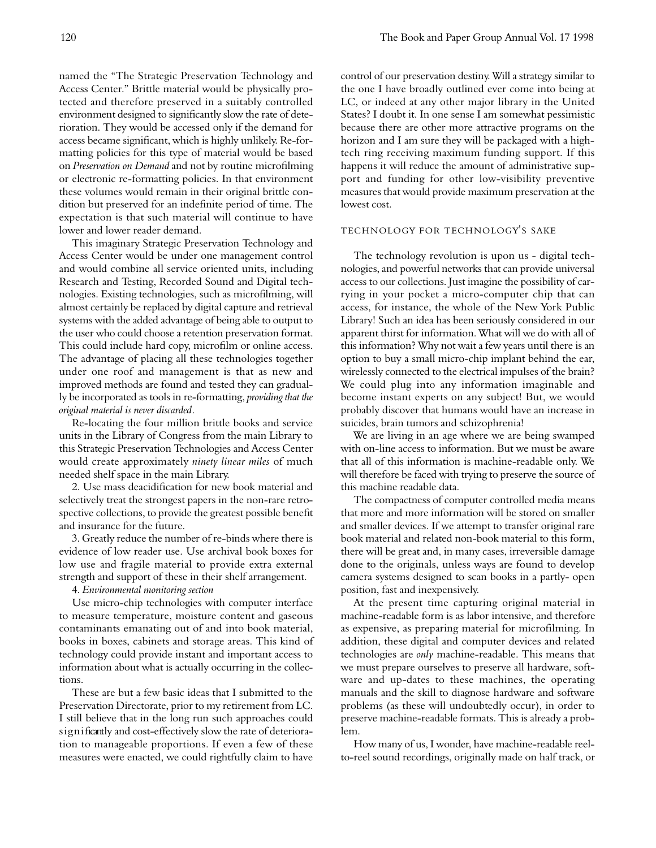named the "The Strategic Preservation Technology and Access Center." Brittle material would be physically protected and therefore preserved in a suitably controlled environment designed to significantly slow the rate of deterioration. They would be accessed only if the demand for access became significant, which is highly unlikely. Re-formatting policies for this type of material would be based on *Preservation on Demand* and not by routine microfilming or electronic re-formatting policies. In that environment these volumes would remain in their original brittle condition but preserved for an indefinite period of time. The expectation is that such material will continue to have lower and lower reader demand.

This imaginary Strategic Preservation Technology and Access Center would be under one management control and would combine all service oriented units, including Research and Testing, Recorded Sound and Digital technologies. Existing technologies, such as microfilming, will almost certainly be replaced by digital capture and retrieval systems with the added advantage of being able to output to the user who could choose a retention preservation format. This could include hard copy, microfilm or online access. The advantage of placing all these technologies together under one roof and management is that as new and improved methods are found and tested they can gradually be incorporated as tools in re-formatting, *providing that the original material is never discarded*.

Re-locating the four million brittle books and service units in the Library of Congress from the main Library to this Strategic Preservation Technologies and Access Center would create approximately *ninety linear miles* of much needed shelf space in the main Library.

2. Use mass deacidification for new book material and selectively treat the strongest papers in the non-rare retrospective collections, to provide the greatest possible benefit and insurance for the future.

3. Greatly reduce the number of re-binds where there is evidence of low reader use. Use archival book boxes for low use and fragile material to provide extra external strength and support of these in their shelf arrangement.

4. *Environmental monitoring section*

Use micro-chip technologies with computer interface to measure temperature, moisture content and gaseous contaminants emanating out of and into book material, books in boxes, cabinets and storage areas. This kind of technology could provide instant and important access to information about what is actually occurring in the collections.

These are but a few basic ideas that I submitted to the Preservation Directorate, prior to my retirement from LC. I still believe that in the long run such approaches could significantly and cost-effectively slow the rate of deterioration to manageable proportions. If even a few of these measures were enacted, we could rightfully claim to have

control of our preservation destiny. Will a strategy similar to the one I have broadly outlined ever come into being at LC, or indeed at any other major library in the United States? I doubt it. In one sense I am somewhat pessimistic because there are other more attractive programs on the horizon and I am sure they will be packaged with a hightech ring receiving maximum funding support. If this happens it will reduce the amount of administrative support and funding for other low-visibility preventive measures that would provide maximum preservation at the lowest cost.

# TECHNOLOGY FOR TECHNOLOGY'S SAKE

The technology revolution is upon us - digital technologies, and powerful networks that can provide universal access to our collections. Just imagine the possibility of carrying in your pocket a micro-computer chip that can access, for instance, the whole of the New York Public Library! Such an idea has been seriously considered in our apparent thirst for information. What will we do with all of this information? Why not wait a few years until there is an option to buy a small micro-chip implant behind the ear, wirelessly connected to the electrical impulses of the brain? We could plug into any information imaginable and become instant experts on any subject! But, we would probably discover that humans would have an increase in suicides, brain tumors and schizophrenia!

We are living in an age where we are being swamped with on-line access to information. But we must be aware that all of this information is machine-readable only. We will therefore be faced with trying to preserve the source of this machine readable data.

The compactness of computer controlled media means that more and more information will be stored on smaller and smaller devices. If we attempt to transfer original rare book material and related non-book material to this form, there will be great and, in many cases, irreversible damage done to the originals, unless ways are found to develop camera systems designed to scan books in a partly- open position, fast and inexpensively.

At the present time capturing original material in machine-readable form is as labor intensive, and therefore as expensive, as preparing material for microfilming. In addition, these digital and computer devices and related technologies are *only* machine-readable. This means that we must prepare ourselves to preserve all hardware, software and up-dates to these machines, the operating manuals and the skill to diagnose hardware and software problems (as these will undoubtedly occur), in order to preserve machine-readable formats. This is already a problem.

How many of us, I wonder, have machine-readable reelto-reel sound recordings, originally made on half track, or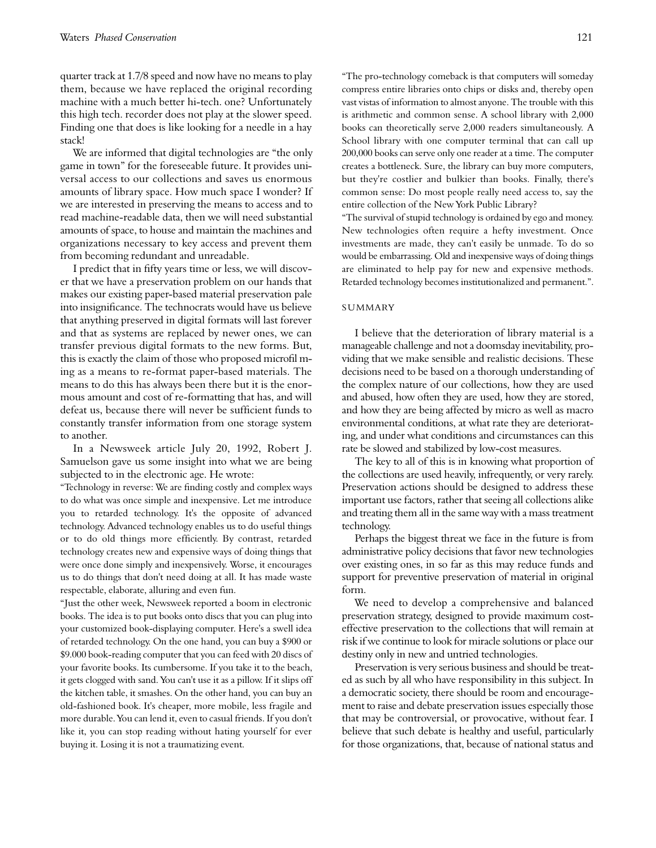quarter track at 1.7/8 speed and now have no means to play them, because we have replaced the original recording machine with a much better hi-tech. one? Unfortunately this high tech. recorder does not play at the slower speed. Finding one that does is like looking for a needle in a hay stack!

We are informed that digital technologies are "the only game in town" for the foreseeable future. It provides universal access to our collections and saves us enormous amounts of library space. How much space I wonder? If we are interested in preserving the means to access and to read machine-readable data, then we will need substantial amounts of space, to house and maintain the machines and organizations necessary to key access and prevent them from becoming redundant and unreadable.

I predict that in fifty years time or less, we will discover that we have a preservation problem on our hands that makes our existing paper-based material preservation pale into insignificance. The technocrats would have us believe that anything preserved in digital formats will last forever and that as systems are replaced by newer ones, we can transfer previous digital formats to the new forms. But, this is exactly the claim of those who proposed microfil ming as a means to re-format paper-based materials. The means to do this has always been there but it is the enormous amount and cost of re-formatting that has, and will defeat us, because there will never be sufficient funds to constantly transfer information from one storage system to another.

In a Newsweek article July 20, 1992, Robert J. Samuelson gave us some insight into what we are being subjected to in the electronic age. He wrote:

"Technology in reverse: We are finding costly and complex ways to do what was once simple and inexpensive. Let me introduce you to retarded technology. It's the opposite of advanced technology. Advanced technology enables us to do useful things or to do old things more efficiently. By contrast, retarded technology creates new and expensive ways of doing things that were once done simply and inexpensively. Worse, it encourages us to do things that don't need doing at all. It has made waste respectable, elaborate, alluring and even fun.

"Just the other week, Newsweek reported a boom in electronic books. The idea is to put books onto discs that you can plug into your customized book-displaying computer. Here's a swell idea of retarded technology. On the one hand, you can buy a \$900 or \$9.000 book-reading computer that you can feed with 20 discs of your favorite books. Its cumbersome. If you take it to the beach, it gets clogged with sand. You can't use it as a pillow. If it slips off the kitchen table, it smashes. On the other hand, you can buy an old-fashioned book. It's cheaper, more mobile, less fragile and more durable. You can lend it, even to casual friends. If you don't like it, you can stop reading without hating yourself for ever buying it. Losing it is not a traumatizing event.

"The pro-technology comeback is that computers will someday compress entire libraries onto chips or disks and, thereby open vast vistas of information to almost anyone. The trouble with this is arithmetic and common sense. A school library with 2,000 books can theoretically serve 2,000 readers simultaneously. A School library with one computer terminal that can call up 200,000 books can serve only one reader at a time. The computer creates a bottleneck. Sure, the library can buy more computers, but they're costlier and bulkier than books. Finally, there's common sense: Do most people really need access to, say the entire collection of the New York Public Library?

"The survival of stupid technology is ordained by ego and money. New technologies often require a hefty investment. Once investments are made, they can't easily be unmade. To do so would be embarrassing. Old and inexpensive ways of doing things are eliminated to help pay for new and expensive methods. Retarded technology becomes institutionalized and permanent.".

#### **SUMMARY**

I believe that the deterioration of library material is a manageable challenge and not a doomsday inevitability, providing that we make sensible and realistic decisions. These decisions need to be based on a thorough understanding of the complex nature of our collections, how they are used and abused, how often they are used, how they are stored, and how they are being affected by micro as well as macro environmental conditions, at what rate they are deteriorating, and under what conditions and circumstances can this rate be slowed and stabilized by low-cost measures.

The key to all of this is in knowing what proportion of the collections are used heavily, infrequently, or very rarely. Preservation actions should be designed to address these important use factors, rather that seeing all collections alike and treating them all in the same way with a mass treatment te chnology.

Perhaps the biggest threat we face in the future is from administrative policy decisions that favor new technologies over existing ones, in so far as this may reduce funds and support for preventive preservation of material in original form.

We need to develop a comprehensive and balanced preservation strategy, designed to provide maximum costeffective preservation to the collections that will remain at risk if we continue to look for miracle solutions or place our destiny only in new and untried technologies.

Preservation is very serious business and should be treated as such by all who have responsibility in this subject. In a democratic society, there should be room and encouragement to raise and debate preservation issues especially those that may be controversial, or provocative, without fear. I believe that such debate is healthy and useful, particularly for those organizations, that, because of national status and